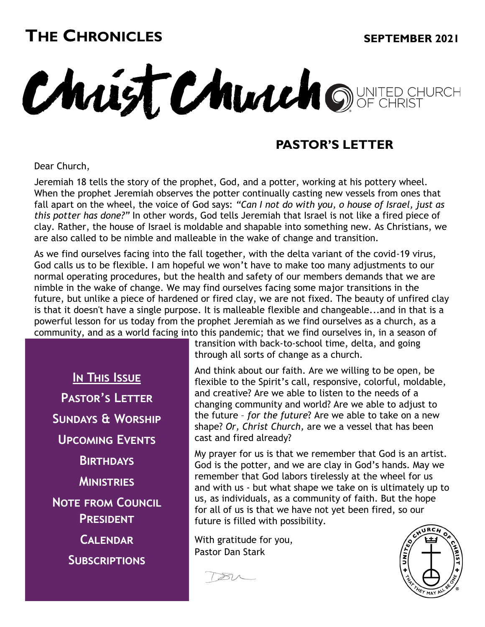# **THE CHRONICLES**

#### **SEPTEMBER 2021**

Christ Church ONTED CHURCH

#### **PASTOR'S LETTER**

Dear Church,

Jeremiah 18 tells the story of the prophet, God, and a potter, working at his pottery wheel. When the prophet Jeremiah observes the potter continually casting new vessels from ones that fall apart on the wheel, the voice of God says: *"Can I not do with you, o house of Israel, just as this potter has done?"* In other words, God tells Jeremiah that Israel is not like a fired piece of clay. Rather, the house of Israel is moldable and shapable into something new. As Christians, we are also called to be nimble and malleable in the wake of change and transition.

As we find ourselves facing into the fall together, with the delta variant of the covid-19 virus, God calls us to be flexible. I am hopeful we won't have to make too many adjustments to our normal operating procedures, but the health and safety of our members demands that we are nimble in the wake of change. We may find ourselves facing some major transitions in the future, but unlike a piece of hardened or fired clay, we are not fixed. The beauty of unfired clay is that it doesn't have a single purpose. It is malleable flexible and changeable...and in that is a powerful lesson for us today from the prophet Jeremiah as we find ourselves as a church, as a community, and as a world facing into this pandemic; that we find ourselves in, in a season of

**In This Issue Pastor's Letter Sundays & Worship Upcoming Events Birthdays Ministries Note from Council President Calendar Subscriptions**

transition with back-to-school time, delta, and going through all sorts of change as a church.

And think about our faith. Are we willing to be open, be flexible to the Spirit's call, responsive, colorful, moldable, and creative? Are we able to listen to the needs of a changing community and world? Are we able to adjust to the future – *for the future*? Are we able to take on a new shape? *Or, Christ Church,* are we a vessel that has been cast and fired already?

My prayer for us is that we remember that God is an artist. God is the potter, and we are clay in God's hands. May we remember that God labors tirelessly at the wheel for us and with us - but what shape we take on is ultimately up to us, as individuals, as a community of faith. But the hope for all of us is that we have not yet been fired, so our future is filled with possibility.

With gratitude for you, Pastor Dan Stark

 $\gg \sim$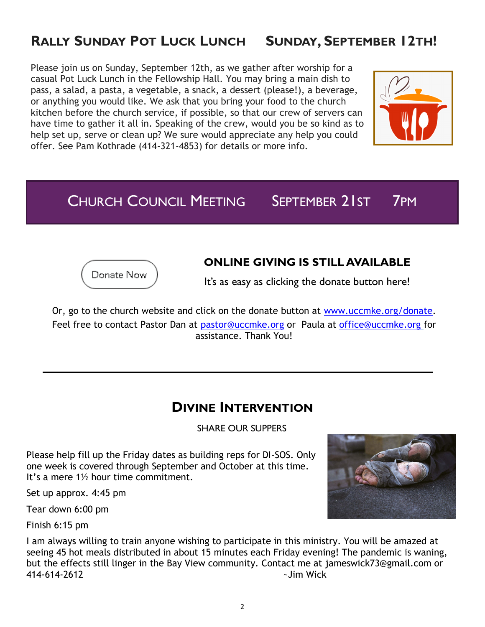# **RALLY SUNDAY POT LUCK LUNCH SUNDAY, SEPTEMBER 12TH!**

Please join us on Sunday, September 12th, as we gather after worship for a casual Pot Luck Lunch in the Fellowship Hall. You may bring a main dish to pass, a salad, a pasta, a vegetable, a snack, a dessert (please!), a beverage, or anything you would like. We ask that you bring your food to the church kitchen before the church service, if possible, so that our crew of servers can have time to gather it all in. Speaking of the crew, would you be so kind as to help set up, serve or clean up? We sure would appreciate any help you could offer. See Pam Kothrade (414-321-4853) for details or more info.



CHURCH COUNCIL MEETING SEPTEMBER 21ST 7PM



#### **ONLINE GIVING IS STILL AVAILABLE**

It's as easy as clicking the donate button here!

Or, go to the church website and click on the donate button at [www.uccmke.org/donate.](https://www.uccmke.org/donate)  Feel free to contact [Pastor Dan a](mailto:dan_stark@att.net)t [pastor@uccmke.org](mailto:pastor@uccmke.org) or Paula at [office@uccmke.org](mailto:office@uccmke.org) for assistance. Thank You!

#### **DIVINE INTERVENTION**

SHARE OUR SUPPERS

Please help fill up the Friday dates as building reps for DI-SOS. Only one week is covered through September and October at this time. It's a mere 1½ hour time commitment.

Set up approx. 4:45 pm

Tear down 6:00 pm

Finish 6:15 pm

I am always willing to train anyone wishing to participate in this ministry. You will be amazed at seeing 45 hot meals distributed in about 15 minutes each Friday evening! The pandemic is waning, but the effects still linger in the Bay View community. Contact me at jameswick73@gmail.com or 414-614-2612 ~Jim Wick

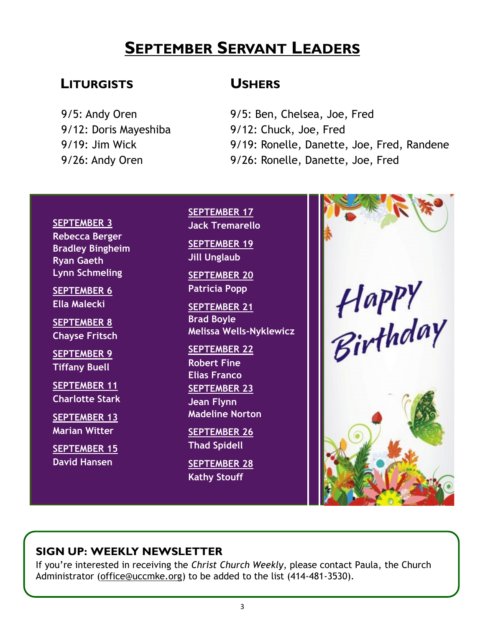# **SEPTEMBER SERVANT LEADERS**

#### **LITURGISTS**

9/5: Andy Oren 9/12: Doris Mayeshiba 9/19: Jim Wick 9/26: Andy Oren

#### **USHERS**

9/5: Ben, Chelsea, Joe, Fred 9/12: Chuck, Joe, Fred 9/19: Ronelle, Danette, Joe, Fred, Randene 9/26: Ronelle, Danette, Joe, Fred

#### **SEPTEMBER 3 Rebecca Berger Bradley Bingheim Ryan Gaeth Lynn Schmeling**

**SEPTEMBER 6 Ella Malecki**

**SEPTEMBER 8 Chayse Fritsch**

**SEPTEMBER 9 Tiffany Buell**

**SEPTEMBER 11 Charlotte Stark**

**SEPTEMBER 13 Marian Witter**

**SEPTEMBER 15 David Hansen**

**SEPTEMBER 17 Jack Tremarello**

**SEPTEMBER 19 Jill Unglaub**

**SEPTEMBER 20 Patricia Popp**

**SEPTEMBER 21 Brad Boyle Melissa Wells-Nyklewicz**

**SEPTEMBER 22 Robert Fine Elias Franco**

**SEPTEMBER 23 Jean Flynn Madeline Norton**

**SEPTEMBER 26 Thad Spidell**

**SEPTEMBER 28 Kathy Stouff**



#### **SIGN UP: WEEKLY NEWSLETTER**

If you're interested in receiving the *Christ Church Weekly*, please contact Paula, the [Church](mailto:christ-church@att.net)  [Administrator \(](mailto:christ-church@att.net)office@uccmke.org) to be added to the list (414-481-3530).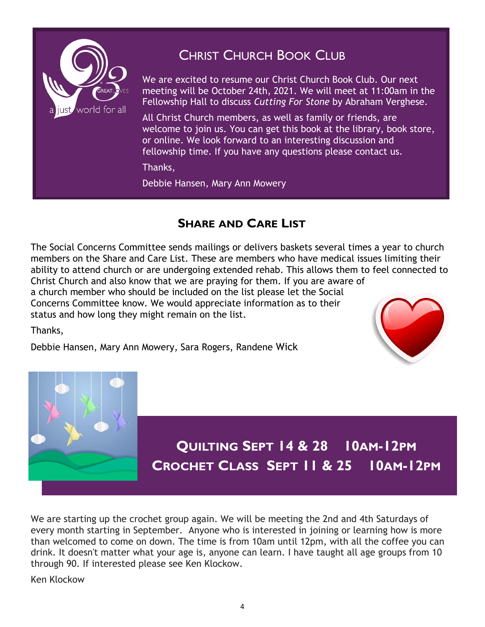

# CHRIST CHURCH BOOK CLUB

We are excited to resume our Christ Church Book Club. Our next meeting will be October 24th, 2021. We will meet at 11:00am in the Fellowship Hall to discuss *Cutting For Stone* by Abraham Verghese.

All Christ Church members, as well as family or friends, are welcome to join us. You can get this book at the library, book store, or online. We look forward to an interesting discussion and fellowship time. If you have any questions please contact us.

Thanks,

Debbie Hansen, Mary Ann Mowery

#### **SHARE AND CARE LIST**

The Social Concerns Committee sends mailings or delivers baskets several times a year to church members on the Share and Care List. These are members who have medical issues limiting their ability to attend church or are undergoing extended rehab. This allows them to feel connected to Christ Church and also know that we are praying for them. If you are aware of a church member who should be included on the list please let the Social

Concerns Committee know. We would appreciate information as to their status and how long they might remain on the list.

Thanks,

Debbie Hansen, Mary Ann Mowery, Sara Rogers, Randene Wick





We are starting up the crochet group again. We will be meeting the 2nd and 4th Saturdays of every month starting in September. Anyone who is interested in joining or learning how is more than welcomed to come on down. The time is from 10am until 12pm, with all the coffee you can drink. It doesn't matter what your age is, anyone can learn. I have taught all age groups from 10 through 90. If interested please see Ken Klockow.

Ken Klockow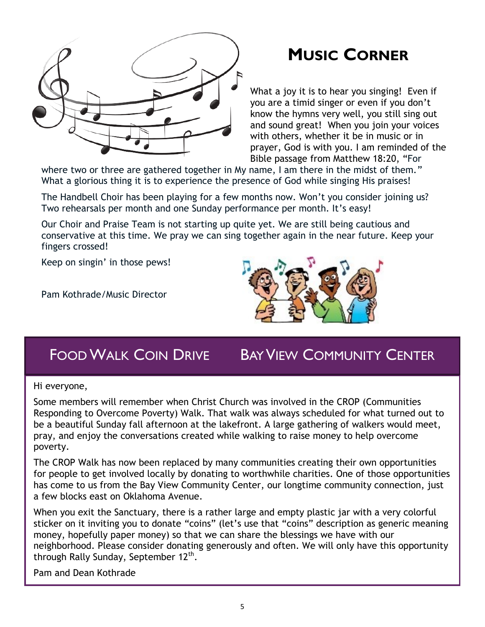

# **MUSIC CORNER**

What a joy it is to hear you singing! Even if you are a timid singer or even if you don't know the hymns very well, you still sing out and sound great! When you join your voices with others, whether it be in music or in prayer, God is with you. I am reminded of the Bible passage from Matthew 18:20, "For

where two or three are gathered together in My name, I am there in the midst of them." What a glorious thing it is to experience the presence of God while singing His praises!

The Handbell Choir has been playing for a few months now. Won't you consider joining us? Two rehearsals per month and one Sunday performance per month. It's easy!

Our Choir and Praise Team is not starting up quite yet. We are still being cautious and conservative at this time. We pray we can sing together again in the near future. Keep your fingers crossed!

Keep on singin' in those pews!

Pam Kothrade/Music Director



# FOODWALK COIN DRIVE BAY VIEW COMMUNITY CENTER

Hi everyone,

Some members will remember when Christ Church was involved in the CROP (Communities Responding to Overcome Poverty) Walk. That walk was always scheduled for what turned out to be a beautiful Sunday fall afternoon at the lakefront. A large gathering of walkers would meet, pray, and enjoy the conversations created while walking to raise money to help overcome poverty.

The CROP Walk has now been replaced by many communities creating their own opportunities for people to get involved locally by donating to worthwhile charities. One of those opportunities has come to us from the Bay View Community Center, our longtime community connection, just a few blocks east on Oklahoma Avenue.

When you exit the Sanctuary, there is a rather large and empty plastic jar with a very colorful sticker on it inviting you to donate "coins" (let's use that "coins" description as generic meaning money, hopefully paper money) so that we can share the blessings we have with our neighborhood. Please consider donating generously and often. We will only have this opportunity through Rally Sunday, September 12<sup>th</sup>.

Pam and Dean Kothrade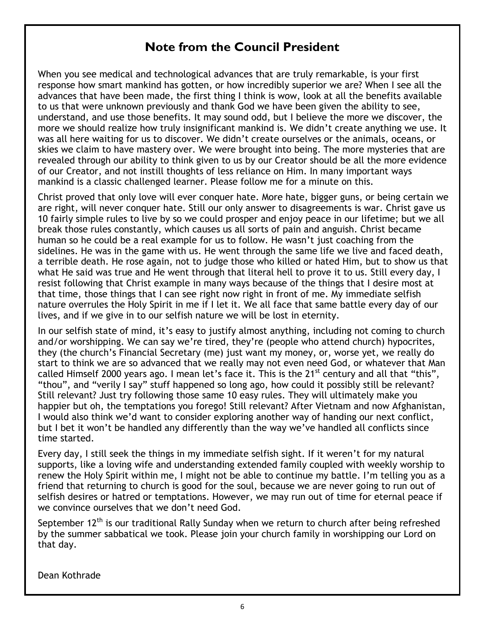#### **Note from the Council President**

When you see medical and technological advances that are truly remarkable, is your first response how smart mankind has gotten, or how incredibly superior we are? When I see all the advances that have been made, the first thing I think is wow, look at all the benefits available to us that were unknown previously and thank God we have been given the ability to see, understand, and use those benefits. It may sound odd, but I believe the more we discover, the more we should realize how truly insignificant mankind is. We didn't create anything we use. It was all here waiting for us to discover. We didn't create ourselves or the animals, oceans, or skies we claim to have mastery over. We were brought into being. The more mysteries that are revealed through our ability to think given to us by our Creator should be all the more evidence of our Creator, and not instill thoughts of less reliance on Him. In many important ways mankind is a classic challenged learner. Please follow me for a minute on this.

Christ proved that only love will ever conquer hate. More hate, bigger guns, or being certain we are right, will never conquer hate. Still our only answer to disagreements is war. Christ gave us 10 fairly simple rules to live by so we could prosper and enjoy peace in our lifetime; but we all break those rules constantly, which causes us all sorts of pain and anguish. Christ became human so he could be a real example for us to follow. He wasn't just coaching from the sidelines. He was in the game with us. He went through the same life we live and faced death, a terrible death. He rose again, not to judge those who killed or hated Him, but to show us that what He said was true and He went through that literal hell to prove it to us. Still every day, I resist following that Christ example in many ways because of the things that I desire most at that time, those things that I can see right now right in front of me. My immediate selfish nature overrules the Holy Spirit in me if I let it. We all face that same battle every day of our lives, and if we give in to our selfish nature we will be lost in eternity.

In our selfish state of mind, it's easy to justify almost anything, including not coming to church and/or worshipping. We can say we're tired, they're (people who attend church) hypocrites, they (the church's Financial Secretary (me) just want my money, or, worse yet, we really do start to think we are so advanced that we really may not even need God, or whatever that Man called Himself 2000 years ago. I mean let's face it. This is the 21<sup>st</sup> century and all that "this", "thou", and "verily I say" stuff happened so long ago, how could it possibly still be relevant? Still relevant? Just try following those same 10 easy rules. They will ultimately make you happier but oh, the temptations you forego! Still relevant? After Vietnam and now Afghanistan, I would also think we'd want to consider exploring another way of handing our next conflict, but I bet it won't be handled any differently than the way we've handled all conflicts since time started.

Every day, I still seek the things in my immediate selfish sight. If it weren't for my natural supports, like a loving wife and understanding extended family coupled with weekly worship to renew the Holy Spirit within me, I might not be able to continue my battle. I'm telling you as a friend that returning to church is good for the soul, because we are never going to run out of selfish desires or hatred or temptations. However, we may run out of time for eternal peace if we convince ourselves that we don't need God.

September  $12<sup>th</sup>$  is our traditional Rally Sunday when we return to church after being refreshed by the summer sabbatical we took. Please join your church family in worshipping our Lord on that day.

Dean Kothrade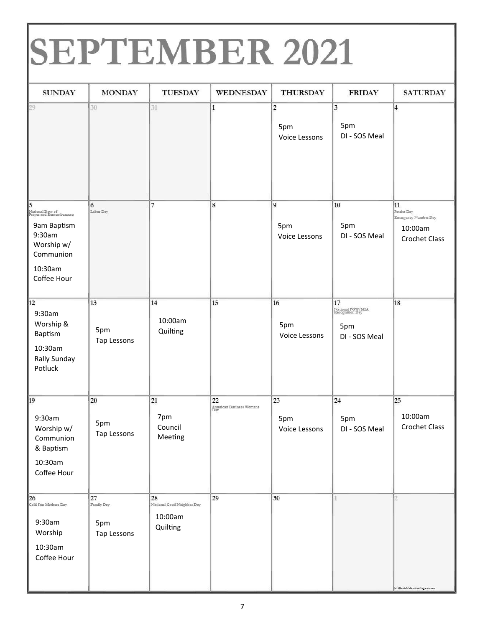# SEPTEMBER 2021

| <b>SUNDAY</b>                                                                                                                  | <b>MONDAY</b>                              | <b>TUESDAY</b>                                          | <b>WEDNESDAY</b>                      | <b>THURSDAY</b>                          | <b>FRIDAY</b>                                                     | <b>SATURDAY</b>                                                              |
|--------------------------------------------------------------------------------------------------------------------------------|--------------------------------------------|---------------------------------------------------------|---------------------------------------|------------------------------------------|-------------------------------------------------------------------|------------------------------------------------------------------------------|
| 29                                                                                                                             | 30                                         | 31                                                      | $\mathbf{1}$                          | $\overline{c}$<br>5pm<br>Voice Lessons   | $\overline{\mathbf{3}}$<br>5pm<br>DI - SOS Meal                   | l4                                                                           |
| 5<br>National Days of<br>Prayer and Rememberance<br>9am Baptism<br>9:30am<br>Worship w/<br>Communion<br>10:30am<br>Coffee Hour | 6<br>Labor Day                             | 7                                                       | $\bf 8$                               | $\vert$ 9<br>5pm<br><b>Voice Lessons</b> | 10<br>5pm<br>DI - SOS Meal                                        | 11<br>Patriot Day<br>Emergency Number Day<br>10:00am<br><b>Crochet Class</b> |
| 12<br>9:30am<br>Worship &<br>Baptism<br>10:30am<br><b>Rally Sunday</b><br>Potluck                                              | 13<br>5pm<br>Tap Lessons                   | 14<br>10:00am<br>Quilting                               | 15                                    | 16<br>5pm<br>Voice Lessons               | 17<br>National POW/MIA<br>Recognition Day<br>5pm<br>DI - SOS Meal | 18                                                                           |
| 19<br>9:30am<br>Worship w/<br>Communion<br>& Baptism<br>10:30am<br>Coffee Hour                                                 | 20<br>5pm<br>Tap Lessons                   | 21<br>7pm<br>Council<br>Meeting                         | 22<br>American Business Womens<br>Day | 23<br>5pm<br>Voice Lessons               | 24<br>5pm<br>DI - SOS Meal                                        | 25<br>10:00am<br><b>Crochet Class</b>                                        |
| $26$<br>Gold Star Mothers Day<br>9:30am<br>Worship<br>10:30am<br>Coffee Hour                                                   | $27\,$<br>Family Day<br>5pm<br>Tap Lessons | 28<br>National Good Neighbor Day<br>10:00am<br>Quilting | 29                                    | 30                                       | ī.                                                                | <b><i>@ BlankCalendarPages.com</i></b>                                       |